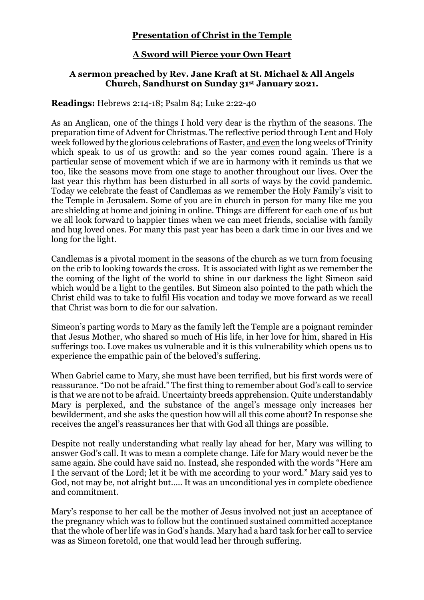## **Presentation of Christ in the Temple**

## **A Sword will Pierce your Own Heart**

## **A sermon preached by Rev. Jane Kraft at St. Michael & All Angels Church, Sandhurst on Sunday 31st January 2021.**

**Readings:** Hebrews 2:14-18; Psalm 84; Luke 2:22-40

As an Anglican, one of the things I hold very dear is the rhythm of the seasons. The preparation time of Advent for Christmas. The reflective period through Lent and Holy week followed by the glorious celebrations of Easter, and even the long weeks of Trinity which speak to us of us growth: and so the year comes round again. There is a particular sense of movement which if we are in harmony with it reminds us that we too, like the seasons move from one stage to another throughout our lives. Over the last year this rhythm has been disturbed in all sorts of ways by the covid pandemic. Today we celebrate the feast of Candlemas as we remember the Holy Family's visit to the Temple in Jerusalem. Some of you are in church in person for many like me you are shielding at home and joining in online. Things are different for each one of us but we all look forward to happier times when we can meet friends, socialise with family and hug loved ones. For many this past year has been a dark time in our lives and we long for the light.

Candlemas is a pivotal moment in the seasons of the church as we turn from focusing on the crib to looking towards the cross. It is associated with light as we remember the the coming of the light of the world to shine in our darkness the light Simeon said which would be a light to the gentiles. But Simeon also pointed to the path which the Christ child was to take to fulfil His vocation and today we move forward as we recall that Christ was born to die for our salvation.

Simeon's parting words to Mary as the family left the Temple are a poignant reminder that Jesus Mother, who shared so much of His life, in her love for him, shared in His sufferings too. Love makes us vulnerable and it is this vulnerability which opens us to experience the empathic pain of the beloved's suffering.

When Gabriel came to Mary, she must have been terrified, but his first words were of reassurance. "Do not be afraid." The first thing to remember about God's call to service is that we are not to be afraid. Uncertainty breeds apprehension. Quite understandably Mary is perplexed, and the substance of the angel's message only increases her bewilderment, and she asks the question how will all this come about? In response she receives the angel's reassurances her that with God all things are possible.

Despite not really understanding what really lay ahead for her, Mary was willing to answer God's call. It was to mean a complete change. Life for Mary would never be the same again. She could have said no. Instead, she responded with the words "Here am I the servant of the Lord; let it be with me according to your word." Mary said yes to God, not may be, not alright but….. It was an unconditional yes in complete obedience and commitment.

Mary's response to her call be the mother of Jesus involved not just an acceptance of the pregnancy which was to follow but the continued sustained committed acceptance that the whole of her life was in God's hands. Mary had a hard task for her call to service was as Simeon foretold, one that would lead her through suffering.